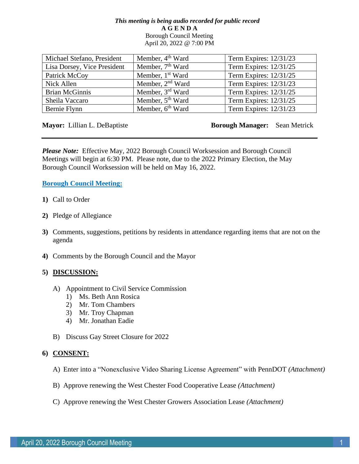### *This meeting is being audio recorded for public record* **A G E N D A**  Borough Council Meeting April 20, 2022 @ 7:00 PM

| Michael Stefano, President  | Member, 4 <sup>th</sup> Ward | Term Expires: 12/31/23 |
|-----------------------------|------------------------------|------------------------|
| Lisa Dorsey, Vice President | Member, 7 <sup>th</sup> Ward | Term Expires: 12/31/25 |
| Patrick McCoy               | Member, 1 <sup>st</sup> Ward | Term Expires: 12/31/25 |
| Nick Allen                  | Member, 2 <sup>nd</sup> Ward | Term Expires: 12/31/23 |
| <b>Brian McGinnis</b>       | Member, 3 <sup>rd</sup> Ward | Term Expires: 12/31/25 |
| Sheila Vaccaro              | Member, 5 <sup>th</sup> Ward | Term Expires: 12/31/25 |
| Bernie Flynn                | Member, 6 <sup>th</sup> Ward | Term Expires: 12/31/23 |

**Mayor:** Lillian L. DeBaptiste **Borough Manager:** Sean Metrick

*Please Note:* Effective May, 2022 Borough Council Worksession and Borough Council Meetings will begin at 6:30 PM. Please note, due to the 2022 Primary Election, the May Borough Council Worksession will be held on May 16, 2022.

**Borough Council Meeting:**

- **1)** Call to Order
- **2)** Pledge of Allegiance
- **3)** Comments, suggestions, petitions by residents in attendance regarding items that are not on the agenda
- **4)** Comments by the Borough Council and the Mayor

# **5) DISCUSSION:**

- A) Appointment to Civil Service Commission
	- 1) Ms. Beth Ann Rosica
	- 2) Mr. Tom Chambers
	- 3) Mr. Troy Chapman
	- 4) Mr. Jonathan Eadie
- B) Discuss Gay Street Closure for 2022

# **6) CONSENT:**

- A) Enter into a "Nonexclusive Video Sharing License Agreement" with PennDOT *(Attachment)*
- B) Approve renewing the West Chester Food Cooperative Lease *(Attachment)*
- C) Approve renewing the West Chester Growers Association Lease *(Attachment)*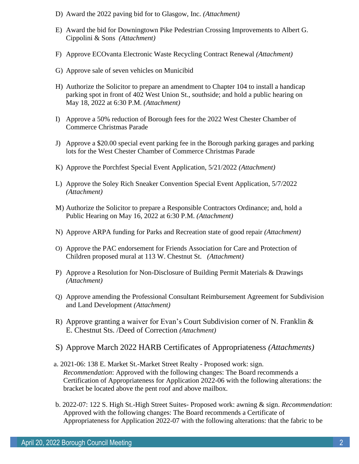- D) Award the 2022 paving bid for to Glasgow, Inc. *(Attachment)*
- E) Award the bid for Downingtown Pike Pedestrian Crossing Improvements to Albert G. Cippolini & Sons *(Attachment)*
- F) Approve ECOvanta Electronic Waste Recycling Contract Renewal *(Attachment)*
- G) Approve sale of seven vehicles on Municibid
- H) Authorize the Solicitor to prepare an amendment to Chapter 104 to install a handicap parking spot in front of 402 West Union St., southside; and hold a public hearing on May 18, 2022 at 6:30 P.M. *(Attachment)*
- I) Approve a 50% reduction of Borough fees for the 2022 West Chester Chamber of Commerce Christmas Parade
- J) Approve a \$20.00 special event parking fee in the Borough parking garages and parking lots for the West Chester Chamber of Commerce Christmas Parade
- K) Approve the Porchfest Special Event Application, 5/21/2022 *(Attachment)*
- L) Approve the Soley Rich Sneaker Convention Special Event Application, 5/7/2022 *(Attachment)*
- M) Authorize the Solicitor to prepare a Responsible Contractors Ordinance; and, hold a Public Hearing on May 16, 2022 at 6:30 P.M. *(Attachment)*
- N) Approve ARPA funding for Parks and Recreation state of good repair *(Attachment)*
- O) Approve the PAC endorsement for Friends Association for Care and Protection of Children proposed mural at 113 W. Chestnut St. *(Attachment)*
- P) Approve a Resolution for Non-Disclosure of Building Permit Materials & Drawings *(Attachment)*
- Q) Approve amending the Professional Consultant Reimbursement Agreement for Subdivision and Land Development *(Attachment)*
- R) Approve granting a waiver for Evan's Court Subdivision corner of N. Franklin & E. Chestnut Sts. /Deed of Correction *(Attachment)*
- S) Approve March 2022 HARB Certificates of Appropriateness *(Attachments)*
- a. 2021-06: 138 E. Market St.-Market Street Realty Proposed work: sign. *Recommendation*: Approved with the following changes: The Board recommends a Certification of Appropriateness for Application 2022-06 with the following alterations: the bracket be located above the pent roof and above mailbox.
- b. 2022-07: 122 S. High St.-High Street Suites- Proposed work: awning & sign. *Recommendation*: Approved with the following changes: The Board recommends a Certificate of Appropriateness for Application 2022-07 with the following alterations: that the fabric to be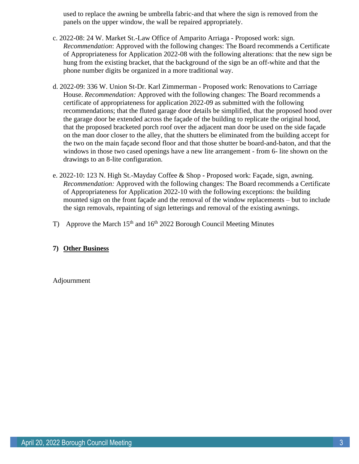used to replace the awning be umbrella fabric-and that where the sign is removed from the panels on the upper window, the wall be repaired appropriately.

- c. 2022-08: 24 W. Market St.-Law Office of Amparito Arriaga Proposed work: sign. *Recommendation*: Approved with the following changes: The Board recommends a Certificate of Appropriateness for Application 2022-08 with the following alterations: that the new sign be hung from the existing bracket, that the background of the sign be an off-white and that the phone number digits be organized in a more traditional way.
- d. 2022-09: 336 W. Union St-Dr. Karl Zimmerman Proposed work: Renovations to Carriage House. *Recommendation:* Approved with the following changes: The Board recommends a certificate of appropriateness for application 2022-09 as submitted with the following recommendations; that the fluted garage door details be simplified, that the proposed hood over the garage door be extended across the façade of the building to replicate the original hood, that the proposed bracketed porch roof over the adjacent man door be used on the side façade on the man door closer to the alley, that the shutters be eliminated from the building accept for the two on the main façade second floor and that those shutter be board-and-baton, and that the windows in those two cased openings have a new lite arrangement - from 6- lite shown on the drawings to an 8-lite configuration.
- e. 2022-10: 123 N. High St.-Mayday Coffee & Shop **-** Proposed work: Façade, sign, awning. *Recommendation:* Approved with the following changes: The Board recommends a Certificate of Appropriateness for Application 2022-10 with the following exceptions: the building mounted sign on the front façade and the removal of the window replacements – but to include the sign removals, repainting of sign letterings and removal of the existing awnings.
- T) Approve the March  $15<sup>th</sup>$  and  $16<sup>th</sup>$  2022 Borough Council Meeting Minutes

# **7) Other Business**

Adjournment